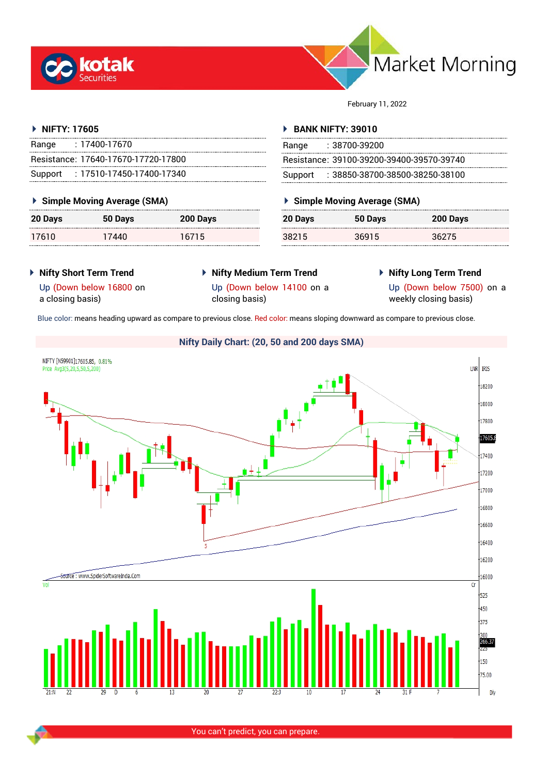



February 11, 2022

## **NIFTY: 17605**

| Range | : 17400-17670                       |
|-------|-------------------------------------|
|       | Resistance: 17640-17670-17720-17800 |
|       | Support: 17510-17450-17400-17340    |

## **Simple Moving Average (SMA)**

| 20 Days | 50 Days | 200 Days |
|---------|---------|----------|
| 17610   | 17440   | 16715    |

### **BANK NIFTY: 39010**

| Range | :38700-39200                              |
|-------|-------------------------------------------|
|       | Resistance: 39100-39200-39400-39570-39740 |
|       | Support: : 38850-38700-38500-38250-38100  |

## **Simple Moving Average (SMA)**

| 20 Days | 50 Days | 200 Days |
|---------|---------|----------|
| 38215   | 36915   | 36275    |

- **Nifty Short Term Trend**
- **Nifty Medium Term Trend**
- **Nifty Long Term Trend**

Up (Down below 16800 on a closing basis)

- 
- 

Up (Down below 14100 on a closing basis)

Up (Down below 7500) on a weekly closing basis)

Blue color: means heading upward as compare to previous close. Red color: means sloping downward as compare to previous close.

# **Nifty Daily Chart: (20, 50 and 200 days SMA)**

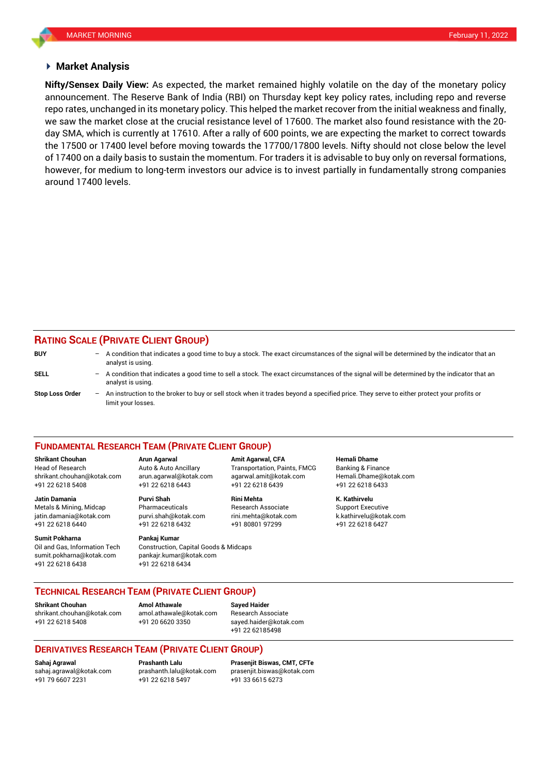#### **Market Analysis**

announcement. The Reserve Bank of India (RBI) on Thursday kept key policy rates, including repo and reverse we saw the market close at the crucial resistance level of 17600. The market also found resistance with the 20- **Nifty/Sensex Daily View:** As expected, the market remained highly volatile on the day of the monetary policy repo rates, unchanged in its monetary policy. This helped the market recover from the initial weakness and finally, day SMA, which is currently at 17610. After a rally of 600 points, we are expecting the market to correct towards the 17500 or 17400 level before moving towards the 17700/17800 levels. Nifty should not close below the level of 17400 on a daily basis to sustain the momentum. For traders it is advisable to buy only on reversal formations, however, for medium to long-term investors our advice is to invest partially in fundamentally strong companies around 17400 levels.

## **RATING SCALE (PRIVATE CLIENT GROUP)**

| <b>BUY</b>             |     | - A condition that indicates a good time to buy a stock. The exact circumstances of the signal will be determined by the indicator that an<br>analyst is using. |
|------------------------|-----|-----------------------------------------------------------------------------------------------------------------------------------------------------------------|
| SELL                   | $-$ | A condition that indicates a good time to sell a stock. The exact circumstances of the signal will be determined by the indicator that an<br>analyst is using.  |
| <b>Stop Loss Order</b> | $-$ | An instruction to the broker to buy or sell stock when it trades beyond a specified price. They serve to either protect your profits or<br>limit your losses.   |

#### **FUNDAMENTAL RESEARCH TEAM (PRIVATE CLIENT GROUP)**

Head of Research Auto & Auto Ancillary Transportation, Paints, FMCG Banking & Finance [shrikant.chouhan@kotak.com](mailto:shrikant.chouhan@kotak.com) arun.agarwal@kotak.com agarwal.amit@kotak.com Hemali.Dhame@kotak.com

**Jatin Damania Purvi Shah Rini Mehta K. Kathirvelu** Metals & Mining, Midcap Pharmaceuticals Research Associate Support Executive Research Associate jatin.damania@kotak.com [purvi.shah@kotak.com](mailto:purvi.shah@kotak.com) rini.mehta@kotak.com [k.kathirvelu@kotak.com](mailto:k.kathirvelu@kotak.com) +91 22 6218 6440 +91 22 6218 6432 +91 80801 97299 +91 22 6218 6427

**Sumit Pokharna** Pankaj Kumar Oil and Gas, Information Tech Construction, Capital Goods & Midcaps sumit.pokharna@kotak.com pankajr.kumar@kotak.com +91 22 6218 6438 +91 22 6218 6434

+91 22 6218 5408 +91 22 6218 6443 +91 22 6218 6439 +91 22 6218 6433

**Shrikant Chouhan Arun Agarwal Amit Agarwal, CFA Hemali Dhame**

## **TECHNICAL RESEARCH TEAM (PRIVATE CLIENT GROUP)**

**Shrikant Chouhan Amol Athawale Sayed Haider**

[shrikant.chouhan@kotak.com](mailto:shrikant.chouhan@kotak.com) [amol.athawale@kotak.com](mailto:amol.athawale@kotak.com) Research Associate +91 22 6218 5408 +91 20 6620 3350 [sayed.haider@kotak.com](mailto:sayed.haider@kotak.com)

+91 22 62185498

## **DERIVATIVES RESEARCH TEAM (PRIVATE CLIENT GROUP)**

+91 22 6218 5497 +91 33 6615 6273

**Sahaj Agrawal Prashanth Lalu Prasenjit Biswas, CMT, CFTe** [sahaj.agrawal@kotak.com](mailto:sahaj.agrawal@kotak.com) [prashanth.lalu@kotak.com](mailto:prashanth.lalu@kotak.com) [prasenjit.biswas@kotak.com](mailto:prasenjit.biswas@kotak.com)